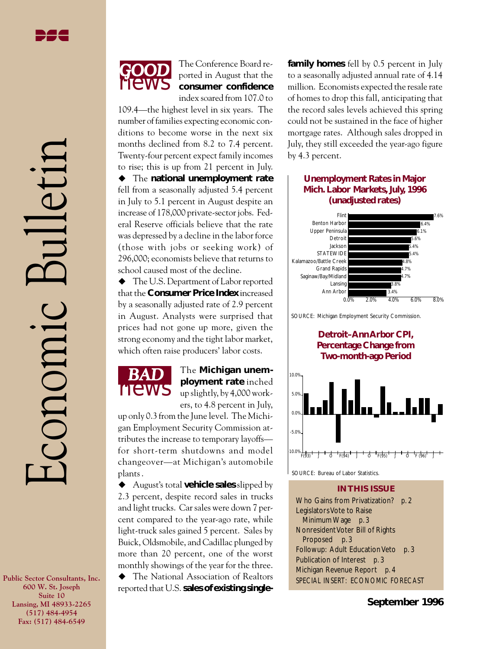**Public Sector Consultants, Inc. 600 W. St. Joseph Suite 10 Lansing, MI 48933-2265 (517) 484-4954 Fax: (517) 484-6549**



The Conference Board reported in August that the **consumer confidence** index soared from 107.0 to

109.4—the highest level in six years. The number of families expecting economic conditions to become worse in the next six months declined from 8.2 to 7.4 percent. Twenty-four percent expect family incomes to rise; this is up from 21 percent in July.

 $\blacklozenge$  The **national unemployment rate** fell from a seasonally adjusted 5.4 percent in July to 5.1 percent in August despite an increase of 178,000 private-sector jobs. Federal Reserve officials believe that the rate was depressed by a decline in the labor force (those with jobs or seeking work) of 296,000; economists believe that returns to school caused most of the decline.

 $\blacklozenge$  The U.S. Department of Labor reported that the **Consumer Price Index** increased by a seasonally adjusted rate of 2.9 percent in August. Analysts were surprised that prices had not gone up more, given the strong economy and the tight labor market, which often raise producers' labor costs.



*BAD* The **Michigan unemployment rate** inched up slightly, by 4,000 workers, to 4.8 percent in July,

up only 0.3 from the June level. The Michigan Employment Security Commission attributes the increase to temporary layoffs for short-term shutdowns and model changeover—at Michigan's automobile plants .

◆ August's total **vehicle sales** slipped by 2.3 percent, despite record sales in trucks and light trucks. Car sales were down 7 percent compared to the year-ago rate, while light-truck sales gained 5 percent. Sales by Buick, Oldsmobile, and Cadillac plunged by more than 20 percent, one of the worst monthly showings of the year for the three.

 $\blacklozenge$  The National Association of Realtors reported that U.S. **sales of existing single-** **family homes** fell by 0.5 percent in July to a seasonally adjusted annual rate of 4.14 million. Economists expected the resale rate of homes to drop this fall, anticipating that the record sales levels achieved this spring could not be sustained in the face of higher mortgage rates. Although sales dropped in July, they still exceeded the year-ago figure by 4.3 percent.

#### **Unemployment Rates in Major Mich. Labor Markets, July, 1996 (unadjusted rates)**





**Detroit–Ann Arbor CPI, Percentage Change from Two-month-ago Period**



SOURCE: Bureau of Labor Statistics.

#### **IN THIS ISSUE**

Who Gains from Privatization? *p. 2* Legislators Vote to Raise Minimum Wage *p. 3* Nonresident Voter Bill of Rights Proposed *p. 3* Followup: Adult Education Veto *p. 3* Publication of Interest *p. 3* Michigan Revenue Report *p. 4* SPECIAL INSERT: ECONOMIC FORECAST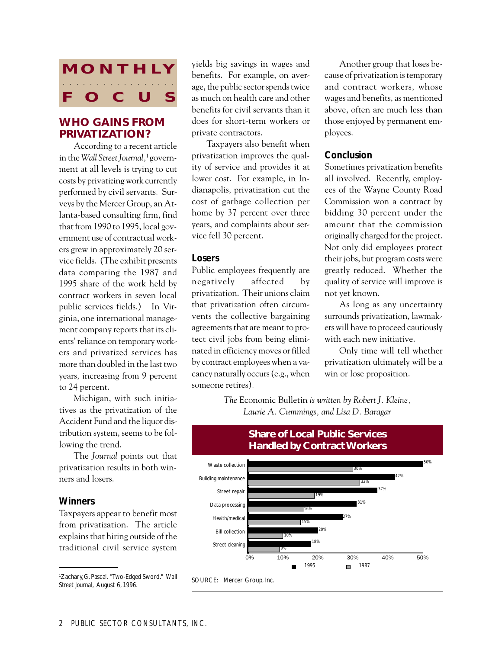# **MONTHLY O** C aaaa aaaaaaaaaaaaa

# **WHO GAINS FROM PRIVATIZATION?**

According to a recent article in the *Wall Street Journal,*1 government at all levels is trying to cut costs by privatizing work currently performed by civil servants. Surveys by the Mercer Group, an Atlanta-based consulting firm, find that from 1990 to 1995, local government use of contractual workers grew in approximately 20 service fields. (The exhibit presents data comparing the 1987 and 1995 share of the work held by contract workers in seven local public services fields.) In Virginia, one international management company reports that its clients' reliance on temporary workers and privatized services has more than doubled in the last two years, increasing from 9 percent to 24 percent.

Michigan, with such initiatives as the privatization of the Accident Fund and the liquor distribution system, seems to be following the trend.

The *Journal* points out that privatization results in both winners and losers.

#### *Winners*

Taxpayers appear to benefit most from privatization. The article explains that hiring outside of the traditional civil service system

<sup>1</sup>Zachary, G. Pascal. "Two-Edged Sword." Wall source: Mercer Group, Inc.<br>Streat Jayward, August (1996) *Street Journal*, August 6, 1996.

yields big savings in wages and benefits. For example, on average, the public sector spends twice as much on health care and other benefits for civil servants than it does for short-term workers or private contractors.

Taxpayers also benefit when privatization improves the quality of service and provides it at lower cost. For example, in Indianapolis, privatization cut the cost of garbage collection per home by 37 percent over three years, and complaints about service fell 30 percent.

#### *Losers*

Public employees frequently are negatively affected by privatization. Their unions claim that privatization often circumvents the collective bargaining agreements that are meant to protect civil jobs from being eliminated in efficiency moves or filled by contract employees when a vacancy naturally occurs (e.g., when someone retires).

Another group that loses because of privatization is temporary and contract workers, whose wages and benefits, as mentioned above, often are much less than those enjoyed by permanent employees.

### *Conclusion*

Sometimes privatization benefits all involved. Recently, employees of the Wayne County Road Commission won a contract by bidding 30 percent under the amount that the commission originally charged for the project. Not only did employees protect their jobs, but program costs were greatly reduced. Whether the quality of service will improve is not yet known.

As long as any uncertainty surrounds privatization, lawmakers will have to proceed cautiously with each new initiative.

Only time will tell whether privatization ultimately will be a win or lose proposition.

*The* Economic Bulletin *is written by Robert J. Kleine, Laurie A. Cummings, and Lisa D. Baragar*



#### **Share of Local Public Services Handled by Contract Workers**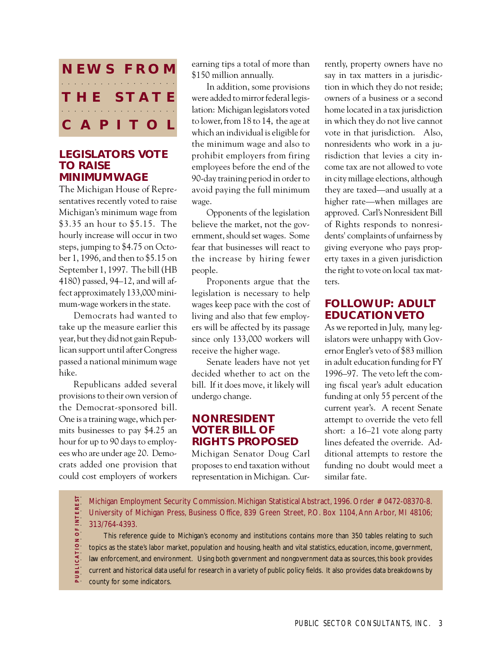

#### **LEGISLATORS VOTE TO RAISE MINIMUM WAGE**

The Michigan House of Representatives recently voted to raise Michigan's minimum wage from \$3.35 an hour to \$5.15. The hourly increase will occur in two steps, jumping to \$4.75 on October 1, 1996, and then to \$5.15 on September 1, 1997. The bill (HB 4180) passed, 94–12, and will affect approximately 133,000 minimum-wage workers in the state.

Democrats had wanted to take up the measure earlier this year, but they did not gain Republican support until after Congress passed a national minimum wage hike.

Republicans added several provisions to their own version of the Democrat-sponsored bill. One is a training wage, which permits businesses to pay \$4.25 an hour for up to 90 days to employees who are under age 20. Democrats added one provision that could cost employers of workers

earning tips a total of more than \$150 million annually.

In addition, some provisions were added to mirror federal legislation: Michigan legislators voted to lower, from 18 to 14, the age at which an individual is eligible for the minimum wage and also to prohibit employers from firing employees before the end of the 90-day training period in order to avoid paying the full minimum wage.

Opponents of the legislation believe the market, not the government, should set wages. Some fear that businesses will react to the increase by hiring fewer people.

Proponents argue that the legislation is necessary to help wages keep pace with the cost of living and also that few employers will be affected by its passage since only 133,000 workers will receive the higher wage.

Senate leaders have not yet decided whether to act on the bill. If it does move, it likely will undergo change.

## **NONRESIDENT VOTER BILL OF RIGHTS PROPOSED**

Michigan Senator Doug Carl proposes to end taxation without representation in Michigan. Cur-

rently, property owners have no say in tax matters in a jurisdiction in which they do not reside; owners of a business or a second home located in a tax jurisdiction in which they do not live cannot vote in that jurisdiction. Also, nonresidents who work in a jurisdiction that levies a city income tax are not allowed to vote in city millage elections, although they are taxed—and usually at a higher rate—when millages are approved. Carl's Nonresident Bill of Rights responds to nonresidents' complaints of unfairness by giving everyone who pays property taxes in a given jurisdiction the right to vote on local tax matters.

# **FOLLOWUP: ADULT EDUCATION VETO**

As we reported in July, many legislators were unhappy with Governor Engler's veto of \$83 million in adult education funding for FY 1996–97. The veto left the coming fiscal year's adult education funding at only 55 percent of the current year's. A recent Senate attempt to override the veto fell short: a 16–21 vote along party lines defeated the override. Additional attempts to restore the funding no doubt would meet a similar fate.

OF INTEREST Michigan Employment Security Commission. Michigan Statistical Abstract, 1996. Order # 0472-08370-8. University of Michigan Press, Business Office, 839 Green Street, P.O. Box 1104, Ann Arbor, MI 48106; 313/764-4393.

**P U B L I C A T I O N O F I N T E R E S T** aaaaaaaaaaaaa This reference guide to Michigan's economy and institutions contains more than 350 tables relating to such ICATION topics as the state's labor market, population and housing, health and vital statistics, education, income, government, law enforcement, and environment. Using both government and nongovernment data as sources, this book provides current and historical data useful for research in a variety of public policy fields. It also provides data breakdowns by county for some indicators.